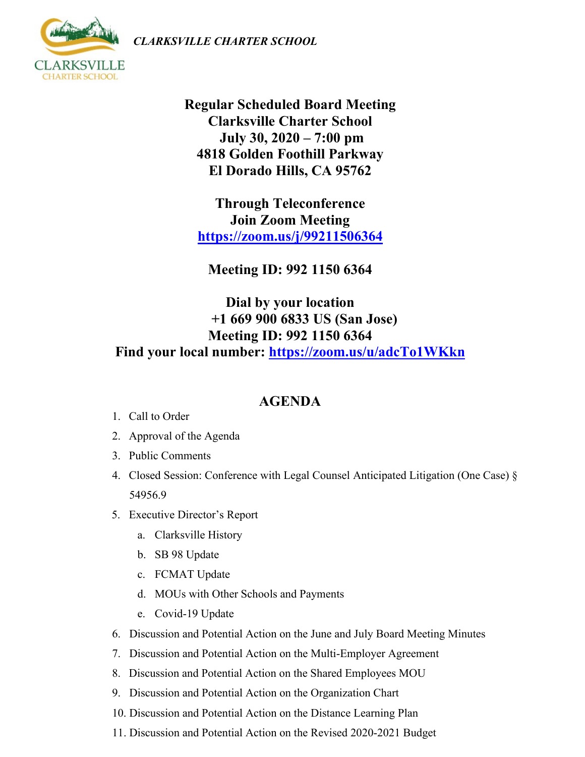*CLARKSVILLE CHARTER SCHOOL*



**Regular Scheduled Board Meeting Clarksville Charter School July 30, 2020 – 7:00 pm 4818 Golden Foothill Parkway El Dorado Hills, CA 95762**

**Through Teleconference Join Zoom Meeting <https://zoom.us/j/99211506364>**

**Meeting ID: 992 1150 6364**

## **Dial by your location +1 669 900 6833 US (San Jose) Meeting ID: 992 1150 6364 Find your local number: <https://zoom.us/u/adcTo1WKkn>**

## **AGENDA**

- 1. Call to Order
- 2. Approval of the Agenda
- 3. Public Comments
- 4. Closed Session: Conference with Legal Counsel Anticipated Litigation (One Case) § 54956.9
- 5. Executive Director's Report
	- a. Clarksville History
	- b. SB 98 Update
	- c. FCMAT Update
	- d. MOUs with Other Schools and Payments
	- e. Covid-19 Update
- 6. Discussion and Potential Action on the June and July Board Meeting Minutes
- 7. Discussion and Potential Action on the Multi-Employer Agreement
- 8. Discussion and Potential Action on the Shared Employees MOU
- 9. Discussion and Potential Action on the Organization Chart
- 10. Discussion and Potential Action on the Distance Learning Plan
- 11. Discussion and Potential Action on the Revised 2020-2021 Budget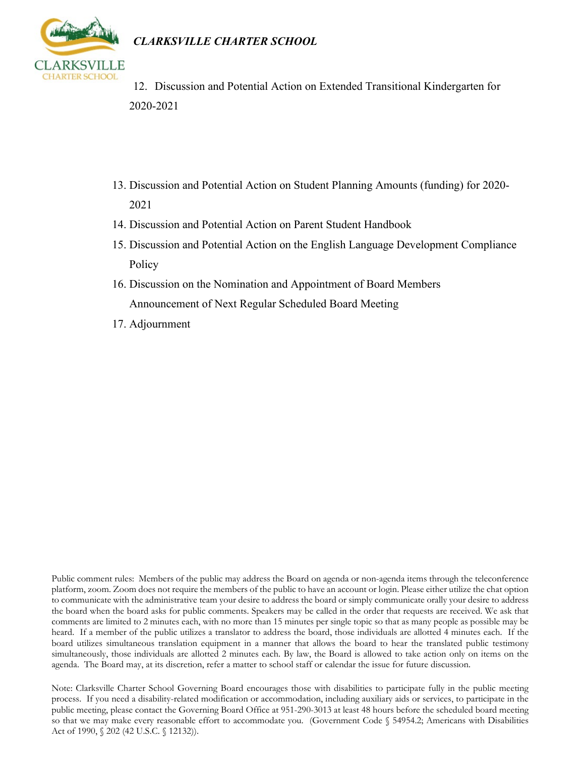



- 12. Discussion and Potential Action on Extended Transitional Kindergarten for 2020-2021
- 13. Discussion and Potential Action on Student Planning Amounts (funding) for 2020- 2021
- 14. Discussion and Potential Action on Parent Student Handbook
- 15. Discussion and Potential Action on the English Language Development Compliance Policy
- 16. Discussion on the Nomination and Appointment of Board Members Announcement of Next Regular Scheduled Board Meeting
- 17. Adjournment

Public comment rules: Members of the public may address the Board on agenda or non-agenda items through the teleconference platform, zoom. Zoom does not require the members of the public to have an account or login. Please either utilize the chat option to communicate with the administrative team your desire to address the board or simply communicate orally your desire to address the board when the board asks for public comments. Speakers may be called in the order that requests are received. We ask that comments are limited to 2 minutes each, with no more than 15 minutes per single topic so that as many people as possible may be heard. If a member of the public utilizes a translator to address the board, those individuals are allotted 4 minutes each. If the board utilizes simultaneous translation equipment in a manner that allows the board to hear the translated public testimony simultaneously, those individuals are allotted 2 minutes each. By law, the Board is allowed to take action only on items on the agenda. The Board may, at its discretion, refer a matter to school staff or calendar the issue for future discussion.

Note: Clarksville Charter School Governing Board encourages those with disabilities to participate fully in the public meeting process. If you need a disability-related modification or accommodation, including auxiliary aids or services, to participate in the public meeting, please contact the Governing Board Office at 951-290-3013 at least 48 hours before the scheduled board meeting so that we may make every reasonable effort to accommodate you. (Government Code § 54954.2; Americans with Disabilities Act of 1990, § 202 (42 U.S.C. § 12132)).